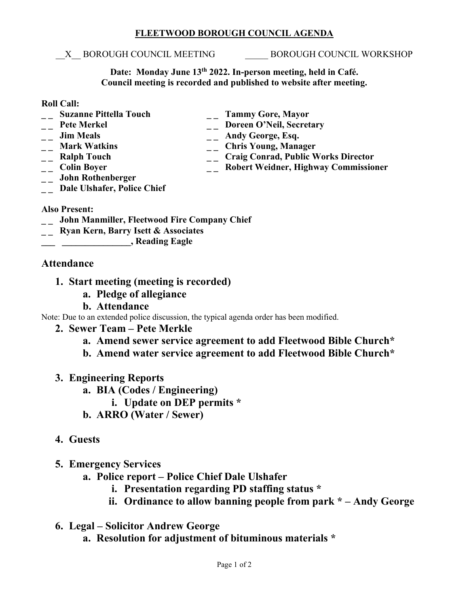#### **FLEETWOOD BOROUGH COUNCIL AGENDA**

#### \_\_X\_\_ BOROUGH COUNCIL MEETING \_\_\_\_\_ BOROUGH COUNCIL WORKSHOP

**Date: Monday June 13th 2022. In-person meeting, held in Café. Council meeting is recorded and published to website after meeting.**

#### **Roll Call:**

- 
- 
- 
- 
- 
- 
- **\_ \_ John Rothenberger**
- **\_ \_ Suzanne Pittella Touch \_ \_ Tammy Gore, Mayor** <sup>--</sup> Pete Merkel <sup>--</sup> Doreen O'Neil, Secretary<br>
<sup>--</sup> Doreen O'Neil, Secretary<br>
<sup>--</sup> Andy George, Esq.
- -- **Jim Meals** -- **Andy George, Esq.**<br>
-- **Mark Watkins** -- **Chris Young, Mana** 
	-
- <sup>1</sup> \_\_ Mark Watkins \_\_ \_\_ Chris Young, Manager<br>
\_\_ Ralph Touch \_\_ \_\_ Craig Conrad, Public V <sup>--</sup> **Craig Conrad, Public Works Director**<br>
-- **Colin Boyer**<br>
-- **Robert Weidner, Highway Commissio** 
	- **\_\_ Robert Weidner, Highway Commissioner**
- **\_ \_ Dale Ulshafer, Police Chief**

### **Also Present:**

- **\_ \_ John Manmiller, Fleetwood Fire Company Chief**
- **\_ \_ Ryan Kern, Barry Isett & Associates**
- **\_\_\_ \_\_\_\_\_\_\_\_\_\_\_\_\_\_\_, Reading Eagle**

## **Attendance**

- **1. Start meeting (meeting is recorded)**
	- **a. Pledge of allegiance**
	- **b. Attendance**

Note: Due to an extended police discussion, the typical agenda order has been modified.

- **2. Sewer Team – Pete Merkle**
	- **a. Amend sewer service agreement to add Fleetwood Bible Church\***
	- **b. Amend water service agreement to add Fleetwood Bible Church\***
- **3. Engineering Reports**
	- **a. BIA (Codes / Engineering)**
		- **i. Update on DEP permits \***
	- **b. ARRO (Water / Sewer)**

# **4. Guests**

- **5. Emergency Services**
	- **a. Police report – Police Chief Dale Ulshafer** 
		- **i. Presentation regarding PD staffing status \***
		- **ii. Ordinance to allow banning people from park \* – Andy George**
- **6. Legal – Solicitor Andrew George**
	- **a. Resolution for adjustment of bituminous materials \***